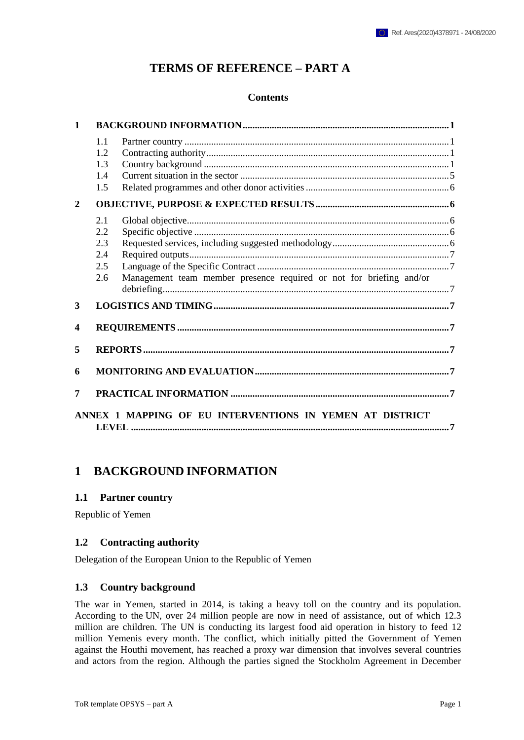## **TERMS OF REFERENCE – PART A**

#### **Contents**

| $\mathbf{1}$     |                                        |                                                                     |  |  |  |  |
|------------------|----------------------------------------|---------------------------------------------------------------------|--|--|--|--|
|                  | 1.1<br>1.2<br>1.3<br>1.4<br>1.5        |                                                                     |  |  |  |  |
| $\overline{2}$   |                                        |                                                                     |  |  |  |  |
|                  | 2.1<br>2.2<br>2.3<br>2.4<br>2.5<br>2.6 | Management team member presence required or not for briefing and/or |  |  |  |  |
| 3                |                                        |                                                                     |  |  |  |  |
| $\boldsymbol{4}$ |                                        |                                                                     |  |  |  |  |
| 5                |                                        |                                                                     |  |  |  |  |
| 6                |                                        |                                                                     |  |  |  |  |
| 7                |                                        |                                                                     |  |  |  |  |
|                  |                                        | ANNEX 1 MAPPING OF EU INTERVENTIONS IN YEMEN AT DISTRICT            |  |  |  |  |

## **1 BACKGROUND INFORMATION**

#### **1.1 Partner country**

Republic of Yemen

#### **1.2 Contracting authority**

Delegation of the European Union to the Republic of Yemen

#### **1.3 Country background**

The war in Yemen, started in 2014, is taking a heavy toll on the country and its population. According to the UN, over 24 million people are now in need of assistance, out of which 12.3 million are children. The UN is conducting its largest food aid operation in history to feed 12 million Yemenis every month. The conflict, which initially pitted the Government of Yemen against the Houthi movement, has reached a proxy war dimension that involves several countries and actors from the region. Although the parties signed the Stockholm Agreement in December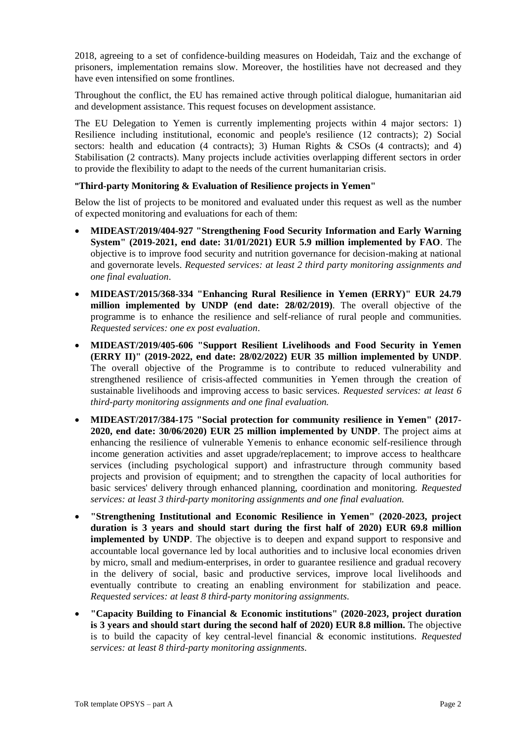2018, agreeing to a set of confidence-building measures on Hodeidah, Taiz and the exchange of prisoners, implementation remains slow. Moreover, the hostilities have not decreased and they have even intensified on some frontlines.

Throughout the conflict, the EU has remained active through political dialogue, humanitarian aid and development assistance. This request focuses on development assistance.

The EU Delegation to Yemen is currently implementing projects within 4 major sectors: 1) Resilience including institutional, economic and people's resilience (12 contracts); 2) Social sectors: health and education (4 contracts); 3) Human Rights & CSOs (4 contracts); and 4) Stabilisation (2 contracts). Many projects include activities overlapping different sectors in order to provide the flexibility to adapt to the needs of the current humanitarian crisis.

#### **"Third-party Monitoring & Evaluation of Resilience projects in Yemen"**

Below the list of projects to be monitored and evaluated under this request as well as the number of expected monitoring and evaluations for each of them:

- **MIDEAST/2019/404-927 "Strengthening Food Security Information and Early Warning System" (2019-2021, end date: 31/01/2021) EUR 5.9 million implemented by FAO**. The objective is to improve food security and nutrition governance for decision-making at national and governorate levels. *Requested services: at least 2 third party monitoring assignments and one final evaluation*.
- **MIDEAST/2015/368-334 "Enhancing Rural Resilience in Yemen (ERRY)" EUR 24.79 million implemented by UNDP (end date: 28/02/2019)**. The overall objective of the programme is to enhance the resilience and self-reliance of rural people and communities. *Requested services: one ex post evaluation*.
- **MIDEAST/2019/405-606 "Support Resilient Livelihoods and Food Security in Yemen (ERRY II)" (2019-2022, end date: 28/02/2022) EUR 35 million implemented by UNDP**. The overall objective of the Programme is to contribute to reduced vulnerability and strengthened resilience of crisis-affected communities in Yemen through the creation of sustainable livelihoods and improving access to basic services. *Requested services: at least 6 third-party monitoring assignments and one final evaluation.*
- **MIDEAST/2017/384-175 "Social protection for community resilience in Yemen" (2017- 2020, end date: 30/06/2020) EUR 25 million implemented by UNDP**. The project aims at enhancing the resilience of vulnerable Yemenis to enhance economic self-resilience through income generation activities and asset upgrade/replacement; to improve access to healthcare services (including psychological support) and infrastructure through community based projects and provision of equipment; and to strengthen the capacity of local authorities for basic services' delivery through enhanced planning, coordination and monitoring. *Requested services: at least 3 third-party monitoring assignments and one final evaluation.*
- **"Strengthening Institutional and Economic Resilience in Yemen" (2020-2023, project duration is 3 years and should start during the first half of 2020) EUR 69.8 million implemented by UNDP**. The objective is to deepen and expand support to responsive and accountable local governance led by local authorities and to inclusive local economies driven by micro, small and medium-enterprises, in order to guarantee resilience and gradual recovery in the delivery of social, basic and productive services, improve local livelihoods and eventually contribute to creating an enabling environment for stabilization and peace. *Requested services: at least 8 third-party monitoring assignments.*
- **"Capacity Building to Financial & Economic institutions" (2020-2023, project duration is 3 years and should start during the second half of 2020) EUR 8.8 million.** The objective is to build the capacity of key central-level financial & economic institutions. *Requested services: at least 8 third-party monitoring assignments.*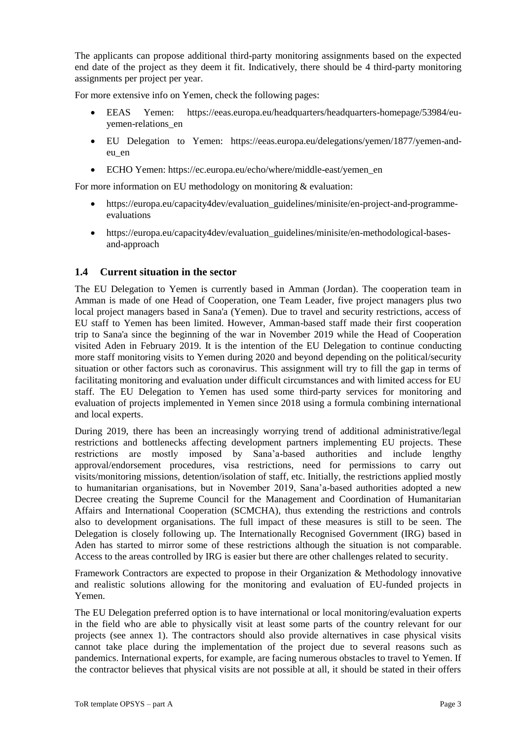The applicants can propose additional third-party monitoring assignments based on the expected end date of the project as they deem it fit. Indicatively, there should be 4 third-party monitoring assignments per project per year.

For more extensive info on Yemen, check the following pages:

- EEAS Yemen: https://eeas.europa.eu/headquarters/headquarters-homepage/53984/euyemen-relations\_en
- EU Delegation to Yemen: https://eeas.europa.eu/delegations/yemen/1877/yemen-andeu\_en
- ECHO Yemen: https://ec.europa.eu/echo/where/middle-east/yemen\_en

For more information on EU methodology on monitoring & evaluation:

- https://europa.eu/capacity4dev/evaluation\_guidelines/minisite/en-project-and-programmeevaluations
- https://europa.eu/capacity4dev/evaluation\_guidelines/minisite/en-methodological-basesand-approach

### **1.4 Current situation in the sector**

The EU Delegation to Yemen is currently based in Amman (Jordan). The cooperation team in Amman is made of one Head of Cooperation, one Team Leader, five project managers plus two local project managers based in Sana'a (Yemen). Due to travel and security restrictions, access of EU staff to Yemen has been limited. However, Amman-based staff made their first cooperation trip to Sana'a since the beginning of the war in November 2019 while the Head of Cooperation visited Aden in February 2019. It is the intention of the EU Delegation to continue conducting more staff monitoring visits to Yemen during 2020 and beyond depending on the political/security situation or other factors such as coronavirus. This assignment will try to fill the gap in terms of facilitating monitoring and evaluation under difficult circumstances and with limited access for EU staff. The EU Delegation to Yemen has used some third-party services for monitoring and evaluation of projects implemented in Yemen since 2018 using a formula combining international and local experts.

During 2019, there has been an increasingly worrying trend of additional administrative/legal restrictions and bottlenecks affecting development partners implementing EU projects. These restrictions are mostly imposed by Sana'a-based authorities and include lengthy approval/endorsement procedures, visa restrictions, need for permissions to carry out visits/monitoring missions, detention/isolation of staff, etc. Initially, the restrictions applied mostly to humanitarian organisations, but in November 2019, Sana'a-based authorities adopted a new Decree creating the Supreme Council for the Management and Coordination of Humanitarian Affairs and International Cooperation (SCMCHA), thus extending the restrictions and controls also to development organisations. The full impact of these measures is still to be seen. The Delegation is closely following up. The Internationally Recognised Government (IRG) based in Aden has started to mirror some of these restrictions although the situation is not comparable. Access to the areas controlled by IRG is easier but there are other challenges related to security.

Framework Contractors are expected to propose in their Organization & Methodology innovative and realistic solutions allowing for the monitoring and evaluation of EU-funded projects in Yemen.

The EU Delegation preferred option is to have international or local monitoring/evaluation experts in the field who are able to physically visit at least some parts of the country relevant for our projects (see annex 1). The contractors should also provide alternatives in case physical visits cannot take place during the implementation of the project due to several reasons such as pandemics. International experts, for example, are facing numerous obstacles to travel to Yemen. If the contractor believes that physical visits are not possible at all, it should be stated in their offers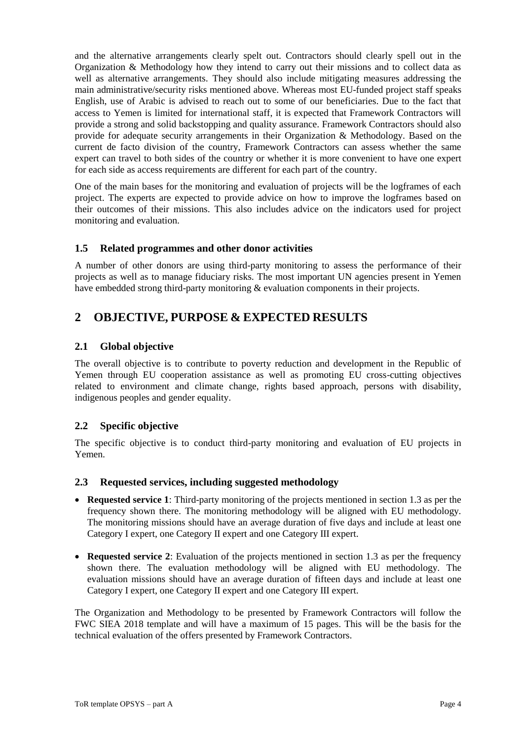and the alternative arrangements clearly spelt out. Contractors should clearly spell out in the Organization & Methodology how they intend to carry out their missions and to collect data as well as alternative arrangements. They should also include mitigating measures addressing the main administrative/security risks mentioned above. Whereas most EU-funded project staff speaks English, use of Arabic is advised to reach out to some of our beneficiaries. Due to the fact that access to Yemen is limited for international staff, it is expected that Framework Contractors will provide a strong and solid backstopping and quality assurance. Framework Contractors should also provide for adequate security arrangements in their Organization & Methodology. Based on the current de facto division of the country, Framework Contractors can assess whether the same expert can travel to both sides of the country or whether it is more convenient to have one expert for each side as access requirements are different for each part of the country.

One of the main bases for the monitoring and evaluation of projects will be the logframes of each project. The experts are expected to provide advice on how to improve the logframes based on their outcomes of their missions. This also includes advice on the indicators used for project monitoring and evaluation.

### **1.5 Related programmes and other donor activities**

A number of other donors are using third-party monitoring to assess the performance of their projects as well as to manage fiduciary risks. The most important UN agencies present in Yemen have embedded strong third-party monitoring & evaluation components in their projects.

# **2 OBJECTIVE, PURPOSE & EXPECTED RESULTS**

### **2.1 Global objective**

The overall objective is to contribute to poverty reduction and development in the Republic of Yemen through EU cooperation assistance as well as promoting EU cross-cutting objectives related to environment and climate change, rights based approach, persons with disability, indigenous peoples and gender equality.

## **2.2 Specific objective**

The specific objective is to conduct third-party monitoring and evaluation of EU projects in Yemen.

### **2.3 Requested services, including suggested methodology**

- **Requested service 1**: Third-party monitoring of the projects mentioned in section 1.3 as per the frequency shown there. The monitoring methodology will be aligned with EU methodology. The monitoring missions should have an average duration of five days and include at least one Category I expert, one Category II expert and one Category III expert.
- **Requested service 2:** Evaluation of the projects mentioned in section 1.3 as per the frequency shown there. The evaluation methodology will be aligned with EU methodology. The evaluation missions should have an average duration of fifteen days and include at least one Category I expert, one Category II expert and one Category III expert.

The Organization and Methodology to be presented by Framework Contractors will follow the FWC SIEA 2018 template and will have a maximum of 15 pages. This will be the basis for the technical evaluation of the offers presented by Framework Contractors.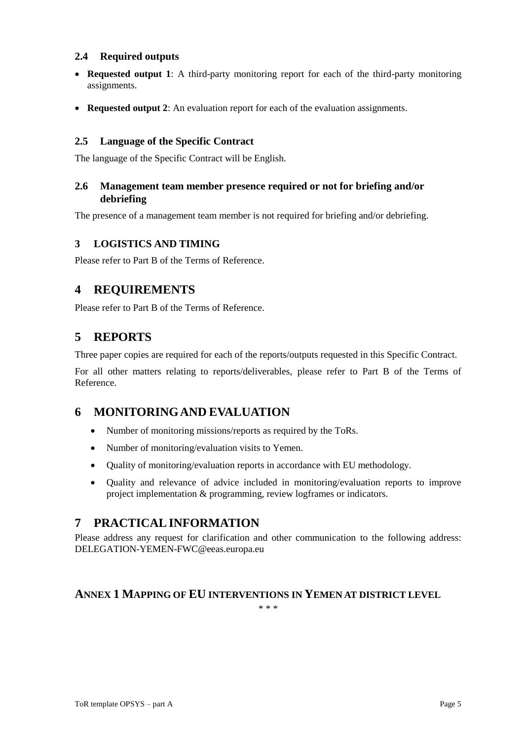### **2.4 Required outputs**

- **Requested output 1**: A third-party monitoring report for each of the third-party monitoring assignments.
- **Requested output 2**: An evaluation report for each of the evaluation assignments.

## **2.5 Language of the Specific Contract**

The language of the Specific Contract will be English.

### **2.6 Management team member presence required or not for briefing and/or debriefing**

The presence of a management team member is not required for briefing and/or debriefing.

## **3 LOGISTICS AND TIMING**

Please refer to Part B of the Terms of Reference.

## **4 REQUIREMENTS**

Please refer to Part B of the Terms of Reference.

# **5 REPORTS**

Three paper copies are required for each of the reports/outputs requested in this Specific Contract.

For all other matters relating to reports/deliverables, please refer to Part B of the Terms of Reference.

# **6 MONITORINGAND EVALUATION**

- Number of monitoring missions/reports as required by the ToRs.
- Number of monitoring/evaluation visits to Yemen.
- Quality of monitoring/evaluation reports in accordance with EU methodology.
- Quality and relevance of advice included in monitoring/evaluation reports to improve project implementation & programming, review logframes or indicators.

# **7 PRACTICALINFORMATION**

Please address any request for clarification and other communication to the following address: DELEGATION-YEMEN-FWC@eeas.europa.eu

## **ANNEX 1 MAPPING OF EU INTERVENTIONS IN YEMEN AT DISTRICT LEVEL**

\* \* \*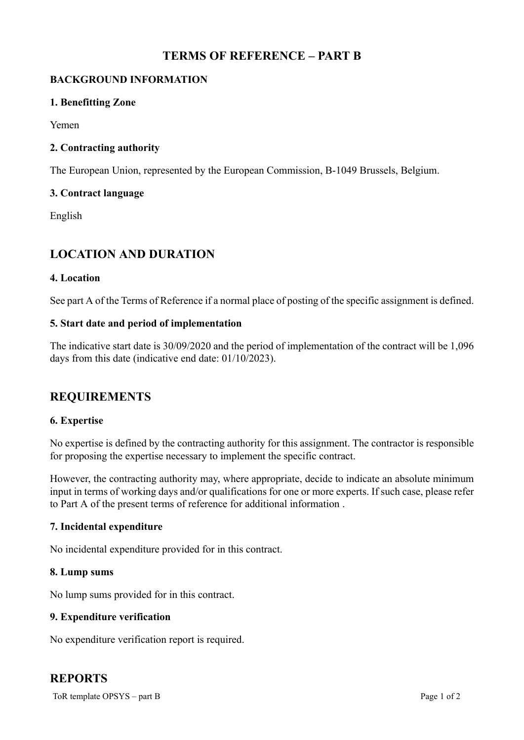# **TERMS OF REFERENCE – PART B**

## **BACKGROUND INFORMATION**

### **1. Benefitting Zone**

Yemen

## **2. Contracting authority**

The European Union, represented by the European Commission, B-1049 Brussels, Belgium.

### **3. Contract language**

English

# **LOCATION AND DURATION**

### **4. Location**

See part A of the Terms of Reference if a normal place of posting of the specific assignment is defined.

### **5. Start date and period of implementation**

The indicative start date is 30/09/2020 and the period of implementation of the contract will be 1,096 days from this date (indicative end date: 01/10/2023).

# **REQUIREMENTS**

### **6. Expertise**

No expertise is defined by the contracting authority for this assignment. The contractor is responsible for proposing the expertise necessary to implement the specific contract.

However, the contracting authority may, where appropriate, decide to indicate an absolute minimum input in terms of working days and/or qualifications for one or more experts. If such case, please refer to Part A of the present terms of reference for additional information .

### **7. Incidental expenditure**

No incidental expenditure provided for in this contract.

### **8. Lump sums**

No lump sums provided for in this contract.

### **9. Expenditure verification**

No expenditure verification report is required.

# **REPORTS**

ToR template OPSYS – part B Page 1 of 2